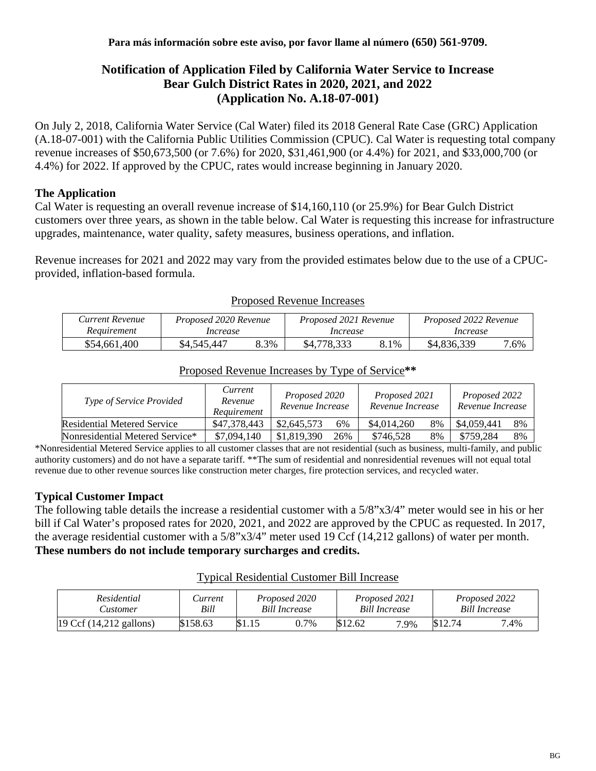# **Notification of Application Filed by California Water Service to Increase Bear Gulch District Rates in 2020, 2021, and 2022 (Application No. A.18-07-001)**

On July 2, 2018, California Water Service (Cal Water) filed its 2018 General Rate Case (GRC) Application (A.18-07-001) with the California Public Utilities Commission (CPUC). Cal Water is requesting total company revenue increases of \$50,673,500 (or 7.6%) for 2020, \$31,461,900 (or 4.4%) for 2021, and \$33,000,700 (or 4.4%) for 2022. If approved by the CPUC, rates would increase beginning in January 2020.

## **The Application**

Cal Water is requesting an overall revenue increase of \$14,160,110 (or 25.9%) for Bear Gulch District customers over three years, as shown in the table below. Cal Water is requesting this increase for infrastructure upgrades, maintenance, water quality, safety measures, business operations, and inflation.

Revenue increases for 2021 and 2022 may vary from the provided estimates below due to the use of a CPUCprovided, inflation-based formula.

| Current Revenue | Proposed 2020 Revenue |      | Proposed 2021 Revenue |      | Proposed 2022 Revenue |      |
|-----------------|-----------------------|------|-----------------------|------|-----------------------|------|
| Requirement     | Increase              |      | Increase              |      | Increase              |      |
| \$54,661,400    | \$4,545,447           | 8.3% | \$4,778,333           | 3.1% | \$4,836,339           | 7.6% |

#### Proposed Revenue Increases

#### Proposed Revenue Increases by Type of Service**\*\***

| Type of Service Provided           | Current<br>Revenue<br>Requirement | Proposed 2020<br>Revenue Increase | Proposed 2021<br>Revenue Increase | Proposed 2022<br>Revenue Increase |  |
|------------------------------------|-----------------------------------|-----------------------------------|-----------------------------------|-----------------------------------|--|
| <b>Residential Metered Service</b> | \$47,378,443                      | \$2,645,573<br>6%                 | \$4,014,260<br>8%                 | \$4,059,441<br>8%                 |  |
| Nonresidential Metered Service*    | \$7,094,140                       | \$1,819,390<br>26%                | \$746,528<br>8%                   | 8%<br>\$759,284                   |  |

\*Nonresidential Metered Service applies to all customer classes that are not residential (such as business, multi-family, and public authority customers) and do not have a separate tariff. \*\*The sum of residential and nonresidential revenues will not equal total revenue due to other revenue sources like construction meter charges, fire protection services, and recycled water.

## **Typical Customer Impact**

The following table details the increase a residential customer with a 5/8"x3/4" meter would see in his or her bill if Cal Water's proposed rates for 2020, 2021, and 2022 are approved by the CPUC as requested. In 2017, the average residential customer with a 5/8"x3/4" meter used 19 Ccf (14,212 gallons) of water per month. **These numbers do not include temporary surcharges and credits.**

#### Typical Residential Customer Bill Increase

| Residential               | <i>Lurrent</i> | Proposed 2020        |      | Proposed 2021        |      | Proposed 2022        |  |
|---------------------------|----------------|----------------------|------|----------------------|------|----------------------|--|
| <b>Lustomer</b>           | Bill           | <b>Bill Increase</b> |      | <b>Bill Increase</b> |      | <b>Bill Increase</b> |  |
| [19 Ccf (14,212 gallons)] | \$158.63       |                      | 0.7% | \$12.62              | 7.9% | \$12.74              |  |